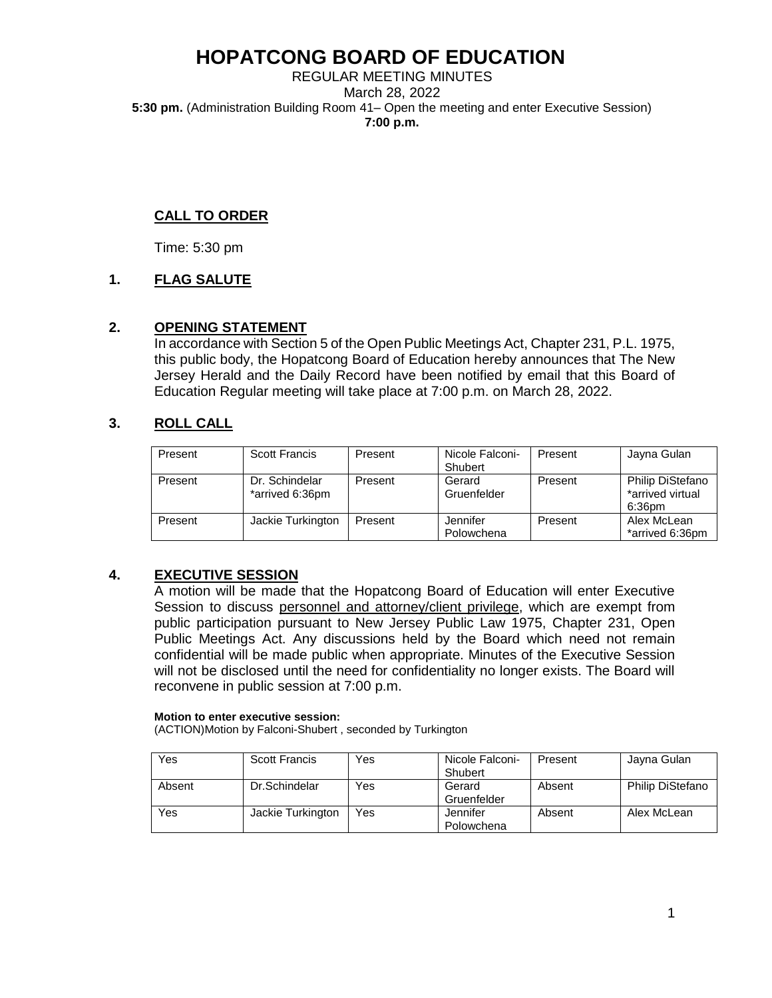REGULAR MEETING MINUTES March 28, 2022 **5:30 pm.** (Administration Building Room 41– Open the meeting and enter Executive Session) **7:00 p.m.**

### **CALL TO ORDER**

Time: 5:30 pm

### **1. FLAG SALUTE**

### **2. OPENING STATEMENT**

In accordance with Section 5 of the Open Public Meetings Act, Chapter 231, P.L. 1975, this public body, the Hopatcong Board of Education hereby announces that The New Jersey Herald and the Daily Record have been notified by email that this Board of Education Regular meeting will take place at 7:00 p.m. on March 28, 2022.

### **3. ROLL CALL**

| Present | Scott Francis                     | Present | Nicole Falconi-        | Present | Jayna Gulan                                    |
|---------|-----------------------------------|---------|------------------------|---------|------------------------------------------------|
|         |                                   |         | Shubert                |         |                                                |
| Present | Dr. Schindelar<br>*arrived 6:36pm | Present | Gerard<br>Gruenfelder  | Present | Philip DiStefano<br>*arrived virtual<br>6:36pm |
| Present | Jackie Turkington                 | Present | Jennifer<br>Polowchena | Present | Alex McLean<br>*arrived 6:36pm                 |

## **4. EXECUTIVE SESSION**

A motion will be made that the Hopatcong Board of Education will enter Executive Session to discuss personnel and attorney/client privilege, which are exempt from public participation pursuant to New Jersey Public Law 1975, Chapter 231, Open Public Meetings Act. Any discussions held by the Board which need not remain confidential will be made public when appropriate. Minutes of the Executive Session will not be disclosed until the need for confidentiality no longer exists. The Board will reconvene in public session at 7:00 p.m.

#### **Motion to enter executive session:**

(ACTION)Motion by Falconi-Shubert , seconded by Turkington

| Yes    | <b>Scott Francis</b> | Yes | Nicole Falconi-<br>Shubert | Present | Jayna Gulan             |
|--------|----------------------|-----|----------------------------|---------|-------------------------|
| Absent | Dr.Schindelar        | Yes | Gerard<br>Gruenfelder      | Absent  | <b>Philip DiStefano</b> |
| Yes    | Jackie Turkington    | Yes | Jennifer<br>Polowchena     | Absent  | Alex McLean             |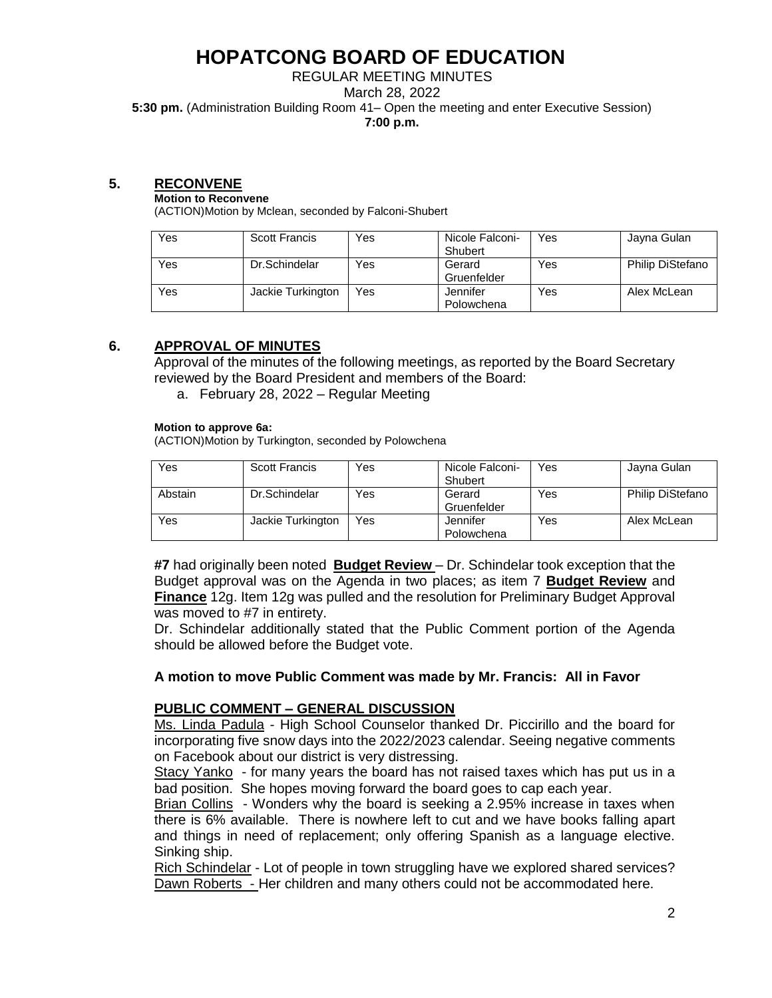## REGULAR MEETING MINUTES

March 28, 2022

**5:30 pm.** (Administration Building Room 41– Open the meeting and enter Executive Session)

**7:00 p.m.**

#### **5. RECONVENE**

#### **Motion to Reconvene**

(ACTION)Motion by Mclean, seconded by Falconi-Shubert

| Yes | <b>Scott Francis</b> | Yes | Nicole Falconi- | Yes | Jayna Gulan             |
|-----|----------------------|-----|-----------------|-----|-------------------------|
|     |                      |     | Shubert         |     |                         |
| Yes | Dr.Schindelar        | Yes | Gerard          | Yes | <b>Philip DiStefano</b> |
|     |                      |     | Gruenfelder     |     |                         |
| Yes | Jackie Turkington    | Yes | Jennifer        | Yes | Alex McLean             |
|     |                      |     | Polowchena      |     |                         |

### **6. APPROVAL OF MINUTES**

Approval of the minutes of the following meetings, as reported by the Board Secretary reviewed by the Board President and members of the Board:

a. February 28, 2022 – Regular Meeting

#### **Motion to approve 6a:**

(ACTION)Motion by Turkington, seconded by Polowchena

| Yes     | <b>Scott Francis</b> | Yes | Nicole Falconi-<br>Shubert | Yes | Jayna Gulan             |
|---------|----------------------|-----|----------------------------|-----|-------------------------|
| Abstain | Dr.Schindelar        | Yes | Gerard<br>Gruenfelder      | Yes | <b>Philip DiStefano</b> |
| Yes     | Jackie Turkington    | Yes | Jennifer<br>Polowchena     | Yes | Alex McLean             |

**#7** had originally been noted **Budget Review** – Dr. Schindelar took exception that the Budget approval was on the Agenda in two places; as item 7 **Budget Review** and **Finance** 12g. Item 12g was pulled and the resolution for Preliminary Budget Approval was moved to #7 in entirety.

Dr. Schindelar additionally stated that the Public Comment portion of the Agenda should be allowed before the Budget vote.

### **A motion to move Public Comment was made by Mr. Francis: All in Favor**

### **PUBLIC COMMENT – GENERAL DISCUSSION**

Ms. Linda Padula - High School Counselor thanked Dr. Piccirillo and the board for incorporating five snow days into the 2022/2023 calendar. Seeing negative comments on Facebook about our district is very distressing.

Stacy Yanko - for many years the board has not raised taxes which has put us in a bad position. She hopes moving forward the board goes to cap each year.

Brian Collins - Wonders why the board is seeking a 2.95% increase in taxes when there is 6% available. There is nowhere left to cut and we have books falling apart and things in need of replacement; only offering Spanish as a language elective. Sinking ship.

Rich Schindelar - Lot of people in town struggling have we explored shared services? Dawn Roberts - Her children and many others could not be accommodated here.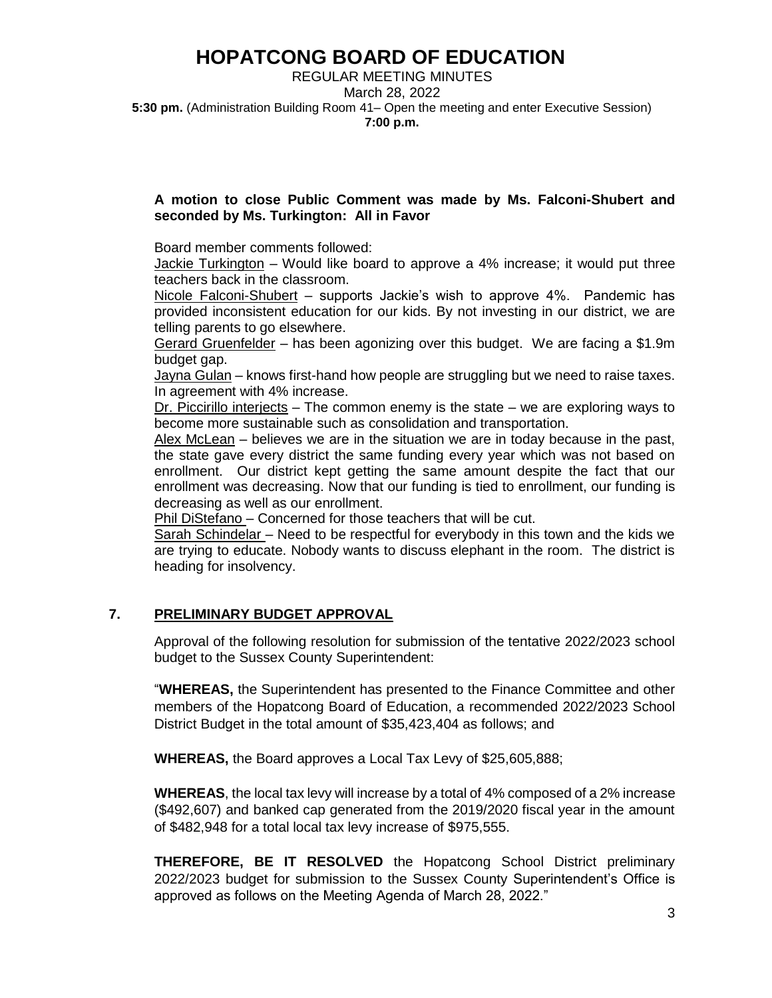REGULAR MEETING MINUTES March 28, 2022 **5:30 pm.** (Administration Building Room 41– Open the meeting and enter Executive Session) **7:00 p.m.**

#### **A motion to close Public Comment was made by Ms. Falconi-Shubert and seconded by Ms. Turkington: All in Favor**

Board member comments followed:

Jackie Turkington – Would like board to approve a 4% increase; it would put three teachers back in the classroom.

Nicole Falconi-Shubert – supports Jackie's wish to approve 4%. Pandemic has provided inconsistent education for our kids. By not investing in our district, we are telling parents to go elsewhere.

Gerard Gruenfelder – has been agonizing over this budget. We are facing a \$1.9m budget gap.

Jayna Gulan – knows first-hand how people are struggling but we need to raise taxes. In agreement with 4% increase.

Dr. Piccirillo interjects  $-$  The common enemy is the state  $-$  we are exploring ways to become more sustainable such as consolidation and transportation.

Alex McLean – believes we are in the situation we are in today because in the past, the state gave every district the same funding every year which was not based on enrollment. Our district kept getting the same amount despite the fact that our enrollment was decreasing. Now that our funding is tied to enrollment, our funding is decreasing as well as our enrollment.

Phil DiStefano – Concerned for those teachers that will be cut.

Sarah Schindelar – Need to be respectful for everybody in this town and the kids we are trying to educate. Nobody wants to discuss elephant in the room. The district is heading for insolvency.

### **7. PRELIMINARY BUDGET APPROVAL**

Approval of the following resolution for submission of the tentative 2022/2023 school budget to the Sussex County Superintendent:

"**WHEREAS,** the Superintendent has presented to the Finance Committee and other members of the Hopatcong Board of Education, a recommended 2022/2023 School District Budget in the total amount of \$35,423,404 as follows; and

**WHEREAS,** the Board approves a Local Tax Levy of \$25,605,888;

**WHEREAS**, the local tax levy will increase by a total of 4% composed of a 2% increase (\$492,607) and banked cap generated from the 2019/2020 fiscal year in the amount of \$482,948 for a total local tax levy increase of \$975,555.

**THEREFORE, BE IT RESOLVED** the Hopatcong School District preliminary 2022/2023 budget for submission to the Sussex County Superintendent's Office is approved as follows on the Meeting Agenda of March 28, 2022."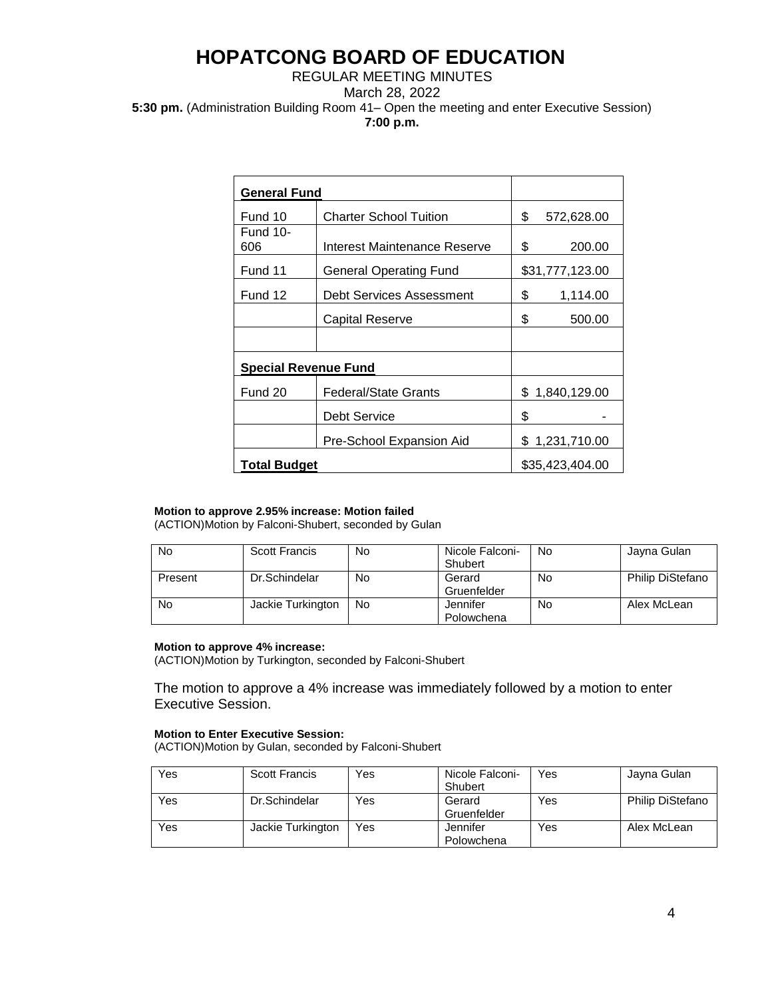#### REGULAR MEETING MINUTES March 28, 2022 **5:30 pm.** (Administration Building Room 41– Open the meeting and enter Executive Session) **7:00 p.m.**

| <b>General Fund</b>         |                               |                  |
|-----------------------------|-------------------------------|------------------|
| Fund 10                     | <b>Charter School Tuition</b> | \$<br>572,628.00 |
| <b>Fund 10-</b><br>606      | Interest Maintenance Reserve  | \$<br>200.00     |
| Fund 11                     | General Operating Fund        | \$31,777,123.00  |
| Fund 12                     | Debt Services Assessment      | \$<br>1,114.00   |
|                             | Capital Reserve               | \$<br>500.00     |
|                             |                               |                  |
| <b>Special Revenue Fund</b> |                               |                  |
| Fund 20                     | Federal/State Grants          | \$1,840,129.00   |
|                             | Debt Service                  | \$               |
|                             | Pre-School Expansion Aid      | \$1,231,710.00   |
| <b>Total Budget</b>         | \$35,423,404.00               |                  |

#### **Motion to approve 2.95% increase: Motion failed**

(ACTION)Motion by Falconi-Shubert, seconded by Gulan

| No      | <b>Scott Francis</b> | No | Nicole Falconi-<br>Shubert | No | Jayna Gulan      |
|---------|----------------------|----|----------------------------|----|------------------|
| Present | Dr.Schindelar        | No | Gerard<br>Gruenfelder      | No | Philip DiStefano |
| No      | Jackie Turkington    | No | Jennifer<br>Polowchena     | No | Alex McLean      |

#### **Motion to approve 4% increase:**

(ACTION)Motion by Turkington, seconded by Falconi-Shubert

The motion to approve a 4% increase was immediately followed by a motion to enter Executive Session.

#### **Motion to Enter Executive Session:**

(ACTION)Motion by Gulan, seconded by Falconi-Shubert

| Yes | <b>Scott Francis</b> | Yes | Nicole Falconi- | Yes | Jayna Gulan             |
|-----|----------------------|-----|-----------------|-----|-------------------------|
|     |                      |     | Shubert         |     |                         |
| Yes | Dr.Schindelar        | Yes | Gerard          | Yes | <b>Philip DiStefano</b> |
|     |                      |     | Gruenfelder     |     |                         |
| Yes | Jackie Turkington    | Yes | Jennifer        | Yes | Alex McLean             |
|     |                      |     | Polowchena      |     |                         |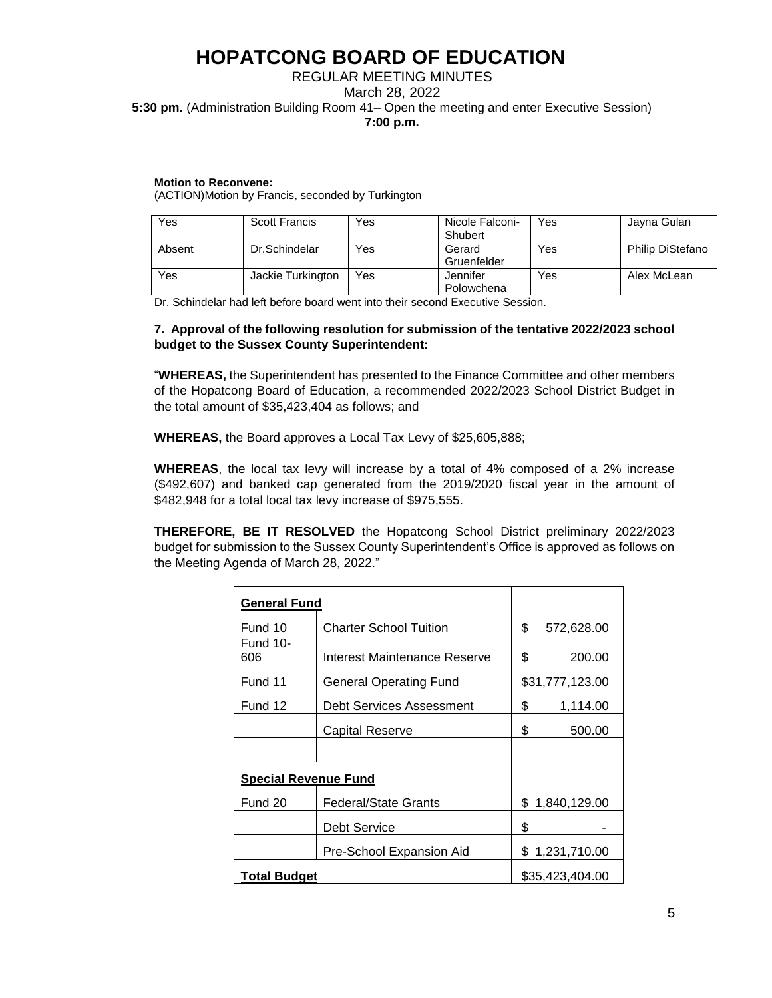#### REGULAR MEETING MINUTES March 28, 2022 **5:30 pm.** (Administration Building Room 41– Open the meeting and enter Executive Session) **7:00 p.m.**

#### **Motion to Reconvene:**

(ACTION)Motion by Francis, seconded by Turkington

| Yes    | <b>Scott Francis</b> | Yes | Nicole Falconi-<br>Shubert | Yes | Jayna Gulan             |
|--------|----------------------|-----|----------------------------|-----|-------------------------|
| Absent | Dr.Schindelar        | Yes | Gerard<br>Gruenfelder      | Yes | <b>Philip DiStefano</b> |
| Yes    | Jackie Turkington    | Yes | Jennifer<br>Polowchena     | Yes | Alex McLean             |

Dr. Schindelar had left before board went into their second Executive Session.

#### **7. Approval of the following resolution for submission of the tentative 2022/2023 school budget to the Sussex County Superintendent:**

"**WHEREAS,** the Superintendent has presented to the Finance Committee and other members of the Hopatcong Board of Education, a recommended 2022/2023 School District Budget in the total amount of \$35,423,404 as follows; and

**WHEREAS,** the Board approves a Local Tax Levy of \$25,605,888;

**WHEREAS**, the local tax levy will increase by a total of 4% composed of a 2% increase (\$492,607) and banked cap generated from the 2019/2020 fiscal year in the amount of \$482,948 for a total local tax levy increase of \$975,555.

**THEREFORE, BE IT RESOLVED** the Hopatcong School District preliminary 2022/2023 budget for submission to the Sussex County Superintendent's Office is approved as follows on the Meeting Agenda of March 28, 2022."

| <b>General Fund</b>         |                               |    |                 |
|-----------------------------|-------------------------------|----|-----------------|
| Fund 10                     | <b>Charter School Tuition</b> | \$ | 572,628.00      |
| <b>Fund 10-</b><br>606      | Interest Maintenance Reserve  | \$ | 200.00          |
| Fund 11                     | <b>General Operating Fund</b> |    | \$31,777,123.00 |
| Fund 12                     | Debt Services Assessment      | \$ | 1,114.00        |
|                             | Capital Reserve               | \$ | 500.00          |
|                             |                               |    |                 |
| <b>Special Revenue Fund</b> |                               |    |                 |
| Fund 20                     | <b>Federal/State Grants</b>   |    | \$1,840,129.00  |
|                             | Debt Service                  | \$ |                 |
|                             | Pre-School Expansion Aid      |    | \$1,231,710.00  |
| <b>Total Budget</b>         |                               |    | \$35,423,404.00 |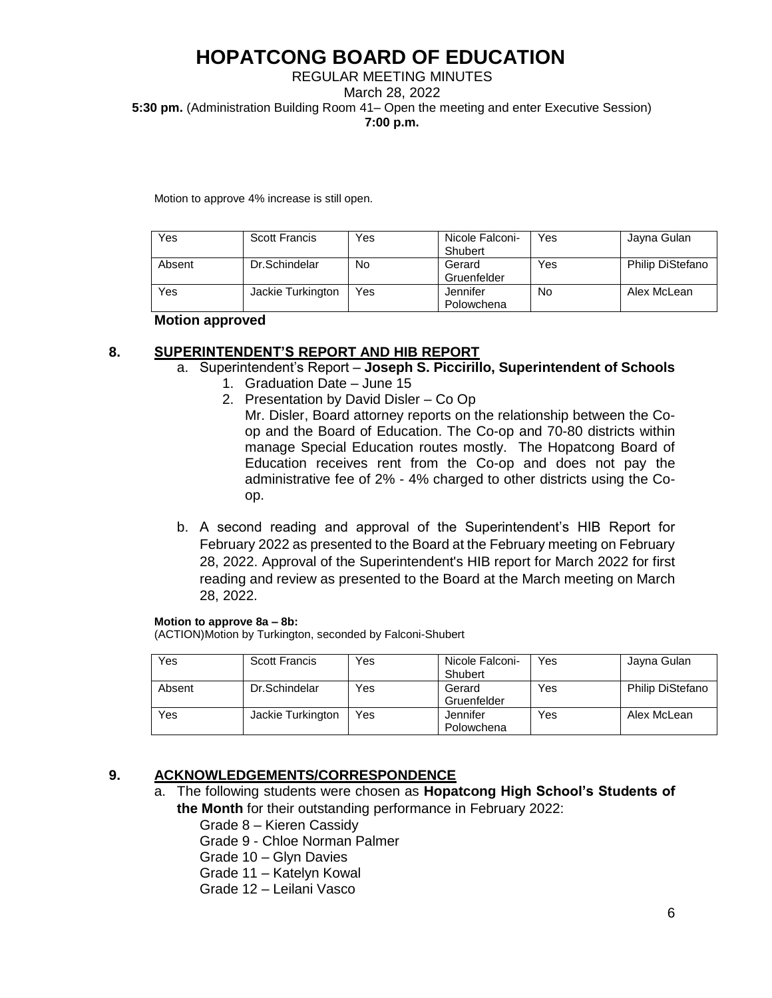#### REGULAR MEETING MINUTES March 28, 2022 **5:30 pm.** (Administration Building Room 41– Open the meeting and enter Executive Session) **7:00 p.m.**

Motion to approve 4% increase is still open.

| Yes    | <b>Scott Francis</b> | Yes | Nicole Falconi-<br>Shubert | Yes | Jayna Gulan             |
|--------|----------------------|-----|----------------------------|-----|-------------------------|
| Absent | Dr.Schindelar        | No  | Gerard<br>Gruenfelder      | Yes | <b>Philip DiStefano</b> |
| Yes    | Jackie Turkington    | Yes | Jennifer<br>Polowchena     | No  | Alex McLean             |

#### **Motion approved**

### **8. SUPERINTENDENT'S REPORT AND HIB REPORT**

### a. Superintendent's Report – **Joseph S. Piccirillo, Superintendent of Schools**

- 1. Graduation Date June 15
- 2. Presentation by David Disler Co Op Mr. Disler, Board attorney reports on the relationship between the Coop and the Board of Education. The Co-op and 70-80 districts within manage Special Education routes mostly. The Hopatcong Board of Education receives rent from the Co-op and does not pay the administrative fee of 2% - 4% charged to other districts using the Coop.
- b. A second reading and approval of the Superintendent's HIB Report for February 2022 as presented to the Board at the February meeting on February 28, 2022. Approval of the Superintendent's HIB report for March 2022 for first reading and review as presented to the Board at the March meeting on March 28, 2022.

#### **Motion to approve 8a – 8b:**

(ACTION)Motion by Turkington, seconded by Falconi-Shubert

| Yes    | Scott Francis     | Yes | Nicole Falconi-<br>Shubert | Yes | Jayna Gulan             |
|--------|-------------------|-----|----------------------------|-----|-------------------------|
| Absent | Dr.Schindelar     | Yes | Gerard<br>Gruenfelder      | Yes | <b>Philip DiStefano</b> |
| Yes    | Jackie Turkington | Yes | Jennifer<br>Polowchena     | Yes | Alex McLean             |

## **9. ACKNOWLEDGEMENTS/CORRESPONDENCE**

- a. The following students were chosen as **Hopatcong High School's Students of the Month** for their outstanding performance in February 2022:
	- Grade 8 Kieren Cassidy

Grade 9 - Chloe Norman Palmer

Grade 10 – Glyn Davies

Grade 11 – Katelyn Kowal

Grade 12 – Leilani Vasco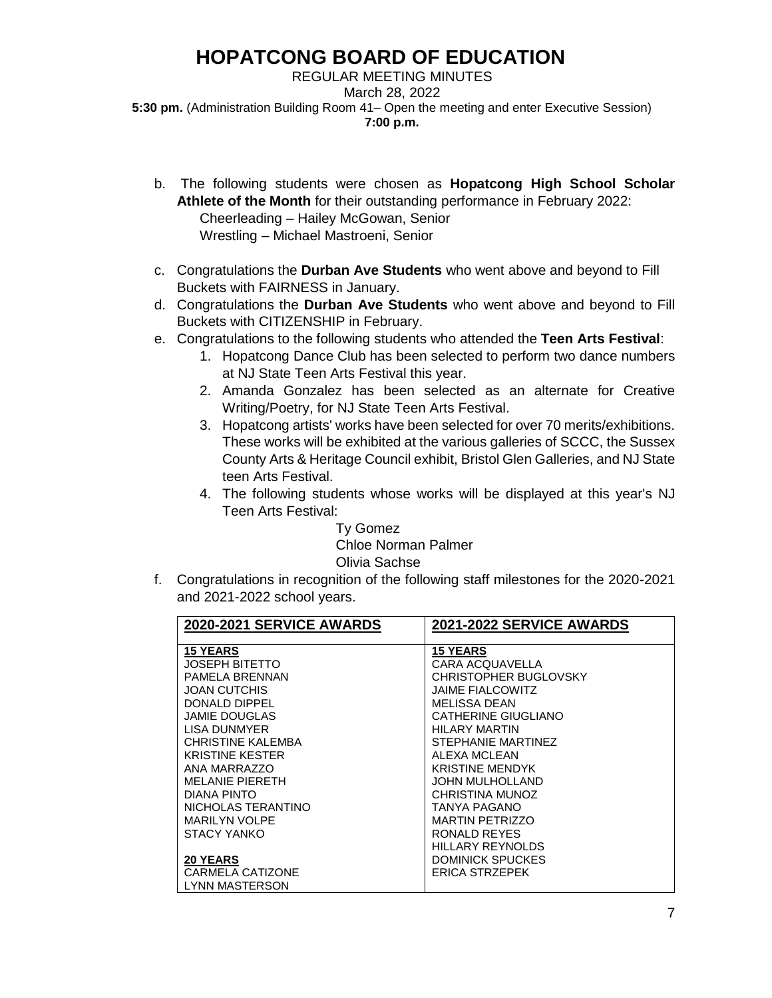REGULAR MEETING MINUTES March 28, 2022 **5:30 pm.** (Administration Building Room 41– Open the meeting and enter Executive Session) **7:00 p.m.**

- b. The following students were chosen as **Hopatcong High School Scholar Athlete of the Month** for their outstanding performance in February 2022: Cheerleading – Hailey McGowan, Senior Wrestling – Michael Mastroeni, Senior
- c. Congratulations the **Durban Ave Students** who went above and beyond to Fill Buckets with FAIRNESS in January.
- d. Congratulations the **Durban Ave Students** who went above and beyond to Fill Buckets with CITIZENSHIP in February.
- e. Congratulations to the following students who attended the **Teen Arts Festival**:
	- 1. Hopatcong Dance Club has been selected to perform two dance numbers at NJ State Teen Arts Festival this year.
	- 2. Amanda Gonzalez has been selected as an alternate for Creative Writing/Poetry, for NJ State Teen Arts Festival.
	- 3. Hopatcong artists' works have been selected for over 70 merits/exhibitions. These works will be exhibited at the various galleries of SCCC, the Sussex County Arts & Heritage Council exhibit, Bristol Glen Galleries, and NJ State teen Arts Festival.
	- 4. The following students whose works will be displayed at this year's NJ Teen Arts Festival:

Ty Gomez Chloe Norman Palmer Olivia Sachse

f. Congratulations in recognition of the following staff milestones for the 2020-2021 and 2021-2022 school years.

| 2020-2021 SERVICE AWARDS | 2021-2022 SERVICE AWARDS |
|--------------------------|--------------------------|
|                          |                          |
| <b>15 YEARS</b>          | <b>15 YEARS</b>          |
| JOSEPH BITETTO           | CARA ACQUAVELLA          |
| <b>PAMELA BRENNAN</b>    | CHRISTOPHER BUGLOVSKY    |
| JOAN CUTCHIS             | <b>JAIME FIALCOWITZ</b>  |
| DONALD DIPPEL            | <b>MELISSA DEAN</b>      |
| JAMIE DOUGLAS            | CATHERINE GIUGLIANO      |
| LISA DUNMYER             | HILARY MARTIN            |
| <b>CHRISTINE KALEMBA</b> | STEPHANIE MARTINEZ       |
| <b>KRISTINE KESTER</b>   | ALEXA MCLEAN             |
| ANA MARRAZZO             | <b>KRISTINE MENDYK</b>   |
| <b>MELANIE PIERETH</b>   | <b>JOHN MULHOLLAND</b>   |
| <b>DIANA PINTO</b>       | CHRISTINA MUNOZ          |
| NICHOLAS TERANTINO       | TANYA PAGANO             |
| <b>MARILYN VOLPE</b>     | <b>MARTIN PETRIZZO</b>   |
| STACY YANKO              | RONALD REYES             |
|                          | <b>HILLARY REYNOLDS</b>  |
| <b>20 YEARS</b>          | <b>DOMINICK SPUCKES</b>  |
| CARMELA CATIZONE         | <b>ERICA STRZEPEK</b>    |
| <b>LYNN MASTERSON</b>    |                          |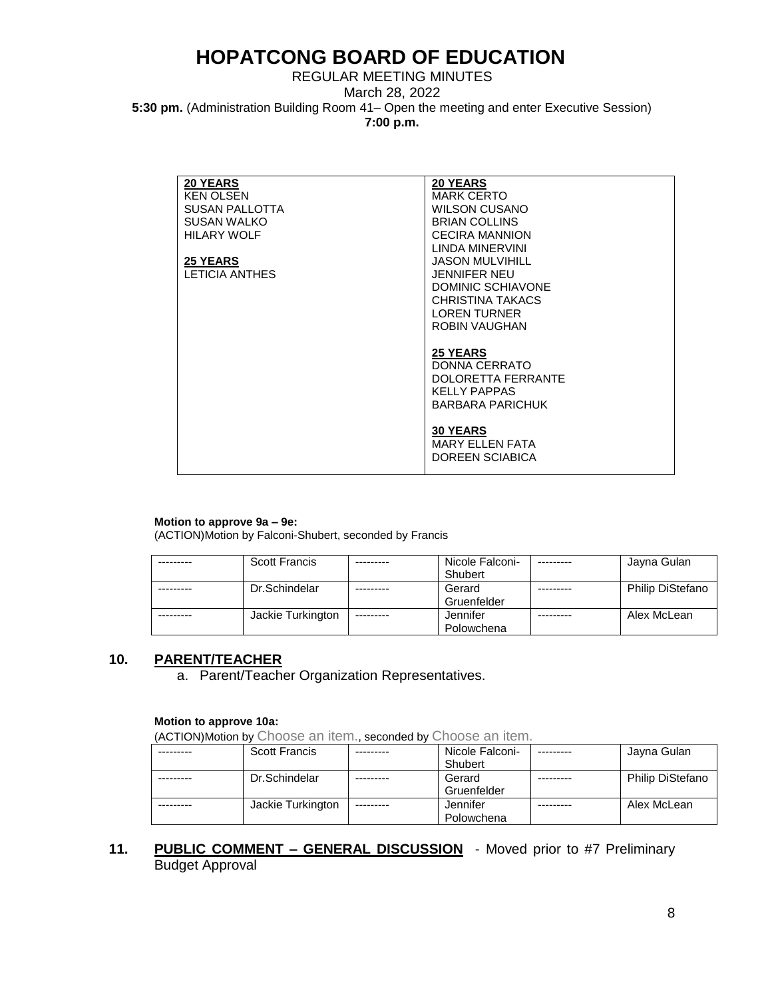REGULAR MEETING MINUTES March 28, 2022 **5:30 pm.** (Administration Building Room 41– Open the meeting and enter Executive Session) **7:00 p.m.**

| <b>20 YEARS</b>       | <b>20 YEARS</b>          |
|-----------------------|--------------------------|
| KEN OLSEN             | <b>MARK CERTO</b>        |
| <b>SUSAN PALLOTTA</b> | <b>WILSON CUSANO</b>     |
| <b>SUSAN WALKO</b>    | <b>BRIAN COLLINS</b>     |
| <b>HILARY WOLF</b>    | <b>CECIRA MANNION</b>    |
|                       | LINDA MINERVINI          |
| <b>25 YEARS</b>       | <b>JASON MULVIHILL</b>   |
| LETICIA ANTHES        | <b>JENNIFER NEU</b>      |
|                       | <b>DOMINIC SCHIAVONE</b> |
|                       | CHRISTINA TAKACS         |
|                       | <b>LOREN TURNER</b>      |
|                       | <b>ROBIN VAUGHAN</b>     |
|                       |                          |
|                       | <b>25 YEARS</b>          |
|                       | DONNA CERRATO            |
|                       | DOLORETTA FERRANTE       |
|                       | <b>KELLY PAPPAS</b>      |
|                       | <b>BARBARA PARICHUK</b>  |
|                       |                          |
|                       | <b>30 YEARS</b>          |
|                       | <b>MARY ELLEN FATA</b>   |
|                       | DOREEN SCIABICA          |
|                       |                          |

#### **Motion to approve 9a – 9e:**

(ACTION)Motion by Falconi-Shubert, seconded by Francis

| <b>Scott Francis</b> |            | Nicole Falconi- | Jayna Gulan             |
|----------------------|------------|-----------------|-------------------------|
|                      |            | Shubert         |                         |
| Dr.Schindelar        |            | Gerard          | <b>Philip DiStefano</b> |
|                      |            | Gruenfelder     |                         |
| Jackie Turkington    | ---------- | Jennifer        | Alex McLean             |
|                      |            | Polowchena      |                         |

#### **10. PARENT/TEACHER**

a. Parent/Teacher Organization Representatives.

#### **Motion to approve 10a:**

(ACTION)Motion by Choose an item., seconded by Choose an item.

| <b>Scott Francis</b> |           | Nicole Falconi- | Jayna Gulan      |
|----------------------|-----------|-----------------|------------------|
|                      |           | Shubert         |                  |
| Dr.Schindelar        |           | Gerard          | Philip DiStefano |
|                      |           | Gruenfelder     |                  |
| Jackie Turkington    | --------- | Jennifer        | Alex McLean      |
|                      |           | Polowchena      |                  |

### **11. PUBLIC COMMENT – GENERAL DISCUSSION** - Moved prior to #7 Preliminary Budget Approval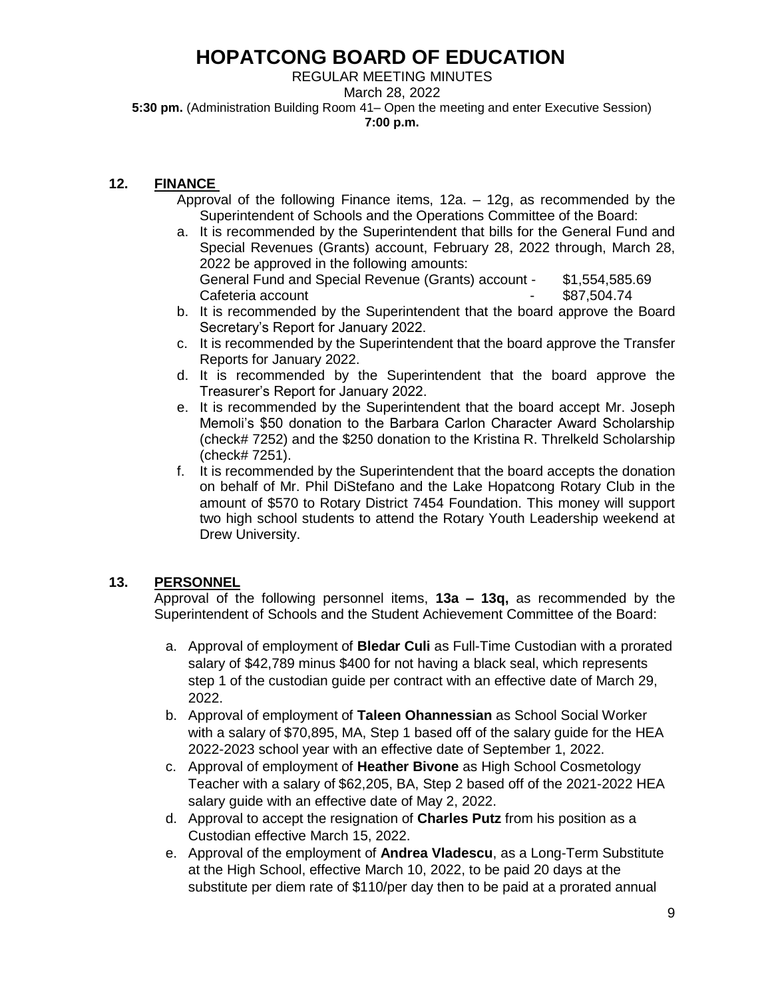REGULAR MEETING MINUTES

March 28, 2022

**5:30 pm.** (Administration Building Room 41– Open the meeting and enter Executive Session) **7:00 p.m.**

### **12. FINANCE**

- Approval of the following Finance items, 12a. 12g, as recommended by the Superintendent of Schools and the Operations Committee of the Board:
- a. It is recommended by the Superintendent that bills for the General Fund and Special Revenues (Grants) account, February 28, 2022 through, March 28, 2022 be approved in the following amounts: General Fund and Special Revenue (Grants) account - \$1,554,585.69 Cafeteria account and the state of the state of the state of the state of the state of the state of the state o
- b. It is recommended by the Superintendent that the board approve the Board Secretary's Report for January 2022.
- c. It is recommended by the Superintendent that the board approve the Transfer Reports for January 2022.
- d. It is recommended by the Superintendent that the board approve the Treasurer's Report for January 2022.
- e. It is recommended by the Superintendent that the board accept Mr. Joseph Memoli's \$50 donation to the Barbara Carlon Character Award Scholarship (check# 7252) and the \$250 donation to the Kristina R. Threlkeld Scholarship (check# 7251).
- f. It is recommended by the Superintendent that the board accepts the donation on behalf of Mr. Phil DiStefano and the Lake Hopatcong Rotary Club in the amount of \$570 to Rotary District 7454 Foundation. This money will support two high school students to attend the Rotary Youth Leadership weekend at Drew University.

## **13. PERSONNEL**

Approval of the following personnel items, **13a – 13q,** as recommended by the Superintendent of Schools and the Student Achievement Committee of the Board:

- a. Approval of employment of **Bledar Culi** as Full-Time Custodian with a prorated salary of \$42,789 minus \$400 for not having a black seal, which represents step 1 of the custodian guide per contract with an effective date of March 29, 2022.
- b. Approval of employment of **Taleen Ohannessian** as School Social Worker with a salary of \$70,895, MA, Step 1 based off of the salary guide for the HEA 2022-2023 school year with an effective date of September 1, 2022.
- c. Approval of employment of **Heather Bivone** as High School Cosmetology Teacher with a salary of \$62,205, BA, Step 2 based off of the 2021-2022 HEA salary guide with an effective date of May 2, 2022.
- d. Approval to accept the resignation of **Charles Putz** from his position as a Custodian effective March 15, 2022.
- e. Approval of the employment of **Andrea Vladescu**, as a Long-Term Substitute at the High School, effective March 10, 2022, to be paid 20 days at the substitute per diem rate of \$110/per day then to be paid at a prorated annual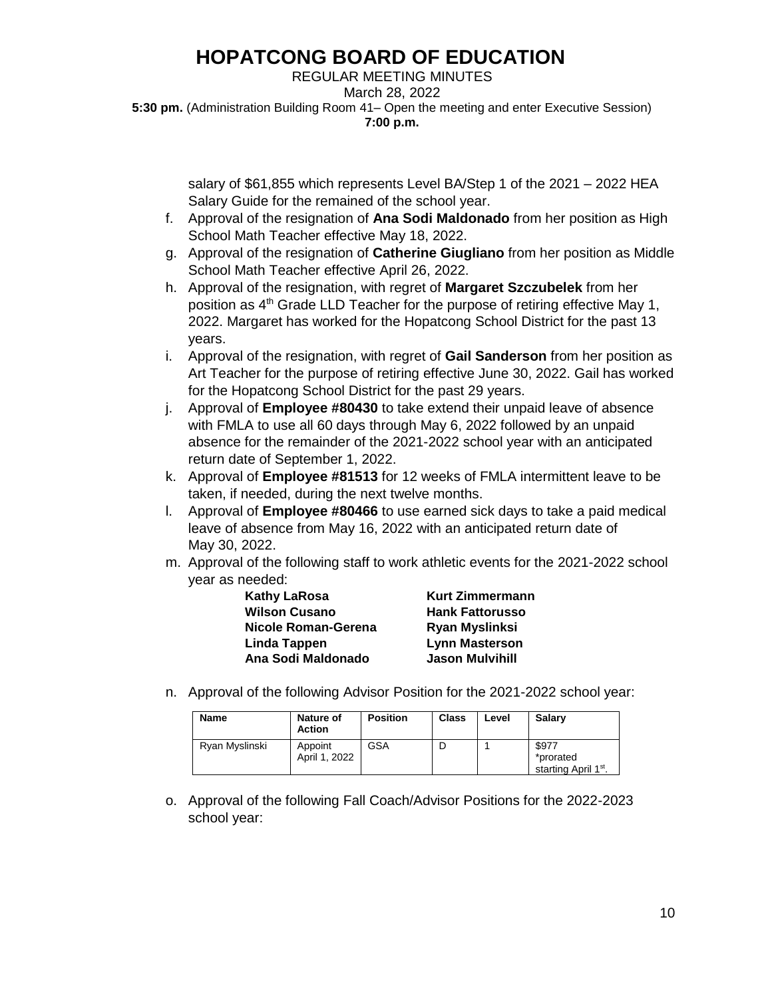REGULAR MEETING MINUTES March 28, 2022 **5:30 pm.** (Administration Building Room 41– Open the meeting and enter Executive Session) **7:00 p.m.**

> salary of \$61,855 which represents Level BA/Step 1 of the 2021 – 2022 HEA Salary Guide for the remained of the school year.

- f. Approval of the resignation of **Ana Sodi Maldonado** from her position as High School Math Teacher effective May 18, 2022.
- g. Approval of the resignation of **Catherine Giugliano** from her position as Middle School Math Teacher effective April 26, 2022.
- h. Approval of the resignation, with regret of **Margaret Szczubelek** from her position as 4<sup>th</sup> Grade LLD Teacher for the purpose of retiring effective May 1, 2022. Margaret has worked for the Hopatcong School District for the past 13 years.
- i. Approval of the resignation, with regret of **Gail Sanderson** from her position as Art Teacher for the purpose of retiring effective June 30, 2022. Gail has worked for the Hopatcong School District for the past 29 years.
- j. Approval of **Employee #80430** to take extend their unpaid leave of absence with FMLA to use all 60 days through May 6, 2022 followed by an unpaid absence for the remainder of the 2021-2022 school year with an anticipated return date of September 1, 2022.
- k. Approval of **Employee #81513** for 12 weeks of FMLA intermittent leave to be taken, if needed, during the next twelve months.
- l. Approval of **Employee #80466** to use earned sick days to take a paid medical leave of absence from May 16, 2022 with an anticipated return date of May 30, 2022.
- m. Approval of the following staff to work athletic events for the 2021-2022 school year as needed:

| <b>Kathy LaRosa</b>  | <b>Kurt Zimmermann</b> |
|----------------------|------------------------|
| <b>Wilson Cusano</b> | <b>Hank Fattorusso</b> |
| Nicole Roman-Gerena  | Ryan Myslinksi         |
| Linda Tappen         | <b>Lynn Masterson</b>  |
| Ana Sodi Maldonado   | <b>Jason Mulvihill</b> |

n. Approval of the following Advisor Position for the 2021-2022 school year:

| <b>Name</b>    | <b>Nature of</b><br><b>Action</b> | <b>Position</b> | <b>Class</b> | Level | <b>Salarv</b>                                          |
|----------------|-----------------------------------|-----------------|--------------|-------|--------------------------------------------------------|
| Ryan Myslinski | Appoint<br>April 1, 2022          | GSA             |              |       | \$977<br>*prorated<br>starting April 1 <sup>st</sup> . |

o. Approval of the following Fall Coach/Advisor Positions for the 2022-2023 school year: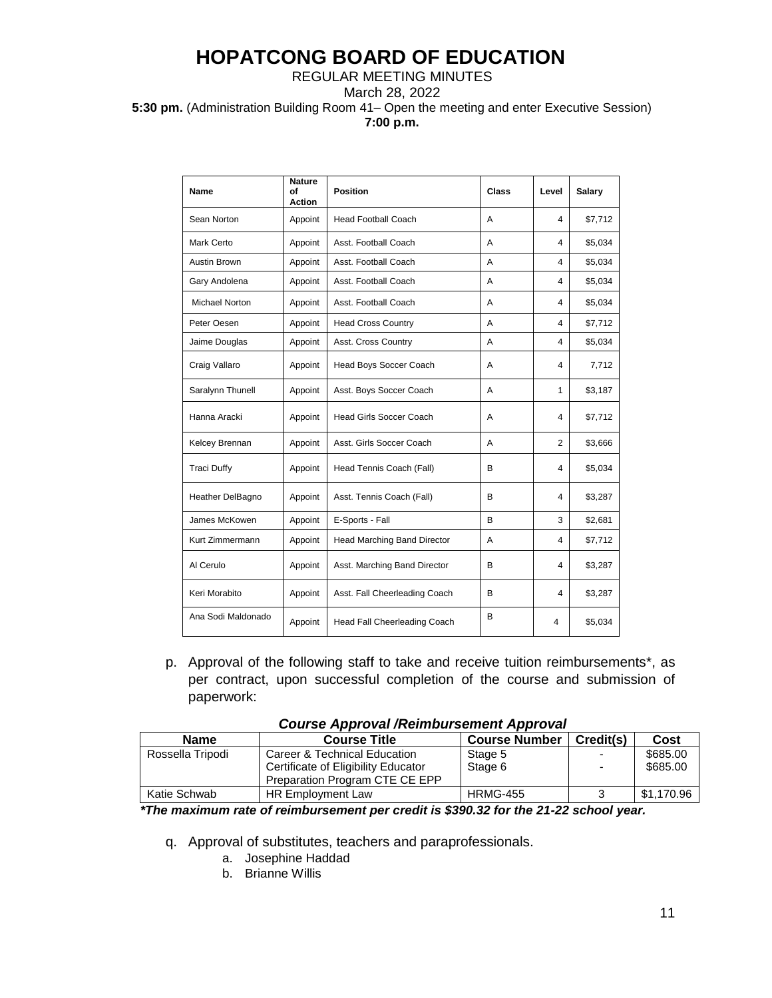#### REGULAR MEETING MINUTES

March 28, 2022

**5:30 pm.** (Administration Building Room 41– Open the meeting and enter Executive Session) **7:00 p.m.**

| Name                | <b>Nature</b><br>of<br><b>Action</b> | <b>Position</b>                | <b>Class</b> | Level | Salary  |
|---------------------|--------------------------------------|--------------------------------|--------------|-------|---------|
| Sean Norton         | Appoint                              | <b>Head Football Coach</b>     | A            | 4     | \$7,712 |
| Mark Certo          | Appoint                              | Asst. Football Coach           | A            | 4     | \$5,034 |
| <b>Austin Brown</b> | Appoint                              | Asst. Football Coach           | A            | 4     | \$5,034 |
| Gary Andolena       | Appoint                              | Asst. Football Coach           | A            | 4     | \$5,034 |
| Michael Norton      | Appoint                              | Asst. Football Coach           | A            | 4     | \$5,034 |
| Peter Oesen         | Appoint                              | <b>Head Cross Country</b>      | A            | 4     | \$7,712 |
| Jaime Douglas       | Appoint                              | Asst. Cross Country            | Α            | 4     | \$5,034 |
| Craig Vallaro       | Appoint                              | Head Boys Soccer Coach         | A            | 4     | 7,712   |
| Saralynn Thunell    | Appoint                              | Asst. Boys Soccer Coach        | A            | 1     | \$3,187 |
| Hanna Aracki        | Appoint                              | <b>Head Girls Soccer Coach</b> | A            | 4     | \$7,712 |
| Kelcey Brennan      | Appoint                              | Asst. Girls Soccer Coach       | A            | 2     | \$3,666 |
| <b>Traci Duffy</b>  | Appoint                              | Head Tennis Coach (Fall)       | B            | 4     | \$5,034 |
| Heather DelBagno    | Appoint                              | Asst. Tennis Coach (Fall)      | B            | 4     | \$3,287 |
| James McKowen       | Appoint                              | E-Sports - Fall                | B            | 3     | \$2,681 |
| Kurt Zimmermann     | Appoint                              | Head Marching Band Director    | A            | 4     | \$7,712 |
| Al Cerulo           | Appoint                              | Asst. Marching Band Director   | B            | 4     | \$3,287 |
| Keri Morabito       | Appoint                              | Asst. Fall Cheerleading Coach  | В            | 4     | \$3,287 |
| Ana Sodi Maldonado  | Appoint                              | Head Fall Cheerleading Coach   | В            | 4     | \$5,034 |

p. Approval of the following staff to take and receive tuition reimbursements\*, as per contract, upon successful completion of the course and submission of paperwork:

| <b>Name</b>      | <b>Course Title</b>                 | <b>Course Number</b> | Credit(s) | Cost       |  |
|------------------|-------------------------------------|----------------------|-----------|------------|--|
| Rossella Tripodi | Career & Technical Education        | Stage 5              |           | \$685.00   |  |
|                  | Certificate of Eligibility Educator | Stage 6              |           | \$685.00   |  |
|                  | Preparation Program CTE CE EPP      |                      |           |            |  |
| Katie Schwab     | HR Employment Law                   | <b>HRMG-455</b>      |           | \$1,170.96 |  |

|  | <b>Course Approval /Reimbursement Approval</b> |
|--|------------------------------------------------|
|--|------------------------------------------------|

 *\*The maximum rate of reimbursement per credit is \$390.32 for the 21-22 school year.*

q. Approval of substitutes, teachers and paraprofessionals.

- a. Josephine Haddad
- b. Brianne Willis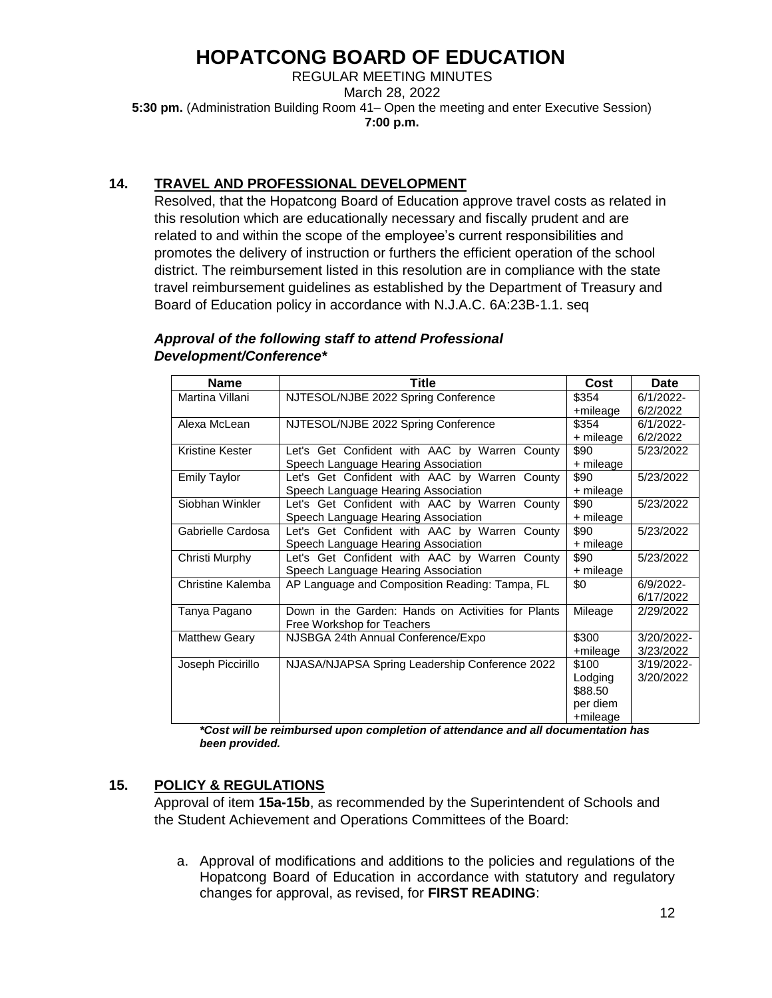REGULAR MEETING MINUTES March 28, 2022 **5:30 pm.** (Administration Building Room 41– Open the meeting and enter Executive Session) **7:00 p.m.**

## **14. TRAVEL AND PROFESSIONAL DEVELOPMENT**

Resolved, that the Hopatcong Board of Education approve travel costs as related in this resolution which are educationally necessary and fiscally prudent and are related to and within the scope of the employee's current responsibilities and promotes the delivery of instruction or furthers the efficient operation of the school district. The reimbursement listed in this resolution are in compliance with the state travel reimbursement guidelines as established by the Department of Treasury and Board of Education policy in accordance with N.J.A.C. 6A:23B-1.1. seq

| <b>Name</b>          | Title                                              | Cost      | <b>Date</b>  |
|----------------------|----------------------------------------------------|-----------|--------------|
| Martina Villani      | NJTESOL/NJBE 2022 Spring Conference                | \$354     | $6/1/2022 -$ |
|                      |                                                    | +mileage  | 6/2/2022     |
| Alexa McLean         | NJTESOL/NJBE 2022 Spring Conference                | \$354     | $6/1/2022 -$ |
|                      |                                                    | + mileage | 6/2/2022     |
| Kristine Kester      | Let's Get Confident with AAC by Warren County      | \$90      | 5/23/2022    |
|                      | Speech Language Hearing Association                | + mileage |              |
| <b>Emily Taylor</b>  | Let's Get Confident with AAC by Warren County      | \$90      | 5/23/2022    |
|                      | Speech Language Hearing Association                | + mileage |              |
| Siobhan Winkler      | Let's Get Confident with AAC by Warren County      | \$90      | 5/23/2022    |
|                      | Speech Language Hearing Association                | + mileage |              |
| Gabrielle Cardosa    | Let's Get Confident with AAC by Warren County      | \$90      | 5/23/2022    |
|                      | Speech Language Hearing Association                | + mileage |              |
| Christi Murphy       | Let's Get Confident with AAC by Warren County      | \$90      | 5/23/2022    |
|                      | Speech Language Hearing Association                | + mileage |              |
| Christine Kalemba    | AP Language and Composition Reading: Tampa, FL     | \$0       | 6/9/2022-    |
|                      |                                                    |           | 6/17/2022    |
| Tanya Pagano         | Down in the Garden: Hands on Activities for Plants | Mileage   | 2/29/2022    |
|                      | Free Workshop for Teachers                         |           |              |
| <b>Matthew Geary</b> | NJSBGA 24th Annual Conference/Expo                 | \$300     | 3/20/2022-   |
|                      |                                                    | +mileage  | 3/23/2022    |
| Joseph Piccirillo    | NJASA/NJAPSA Spring Leadership Conference 2022     | \$100     | 3/19/2022-   |
|                      |                                                    | Lodging   | 3/20/2022    |
|                      |                                                    | \$88.50   |              |
|                      |                                                    | per diem  |              |
|                      |                                                    | +mileage  |              |

### *Approval of the following staff to attend Professional Development/Conference\**

*\*Cost will be reimbursed upon completion of attendance and all documentation has been provided.* 

## **15. POLICY & REGULATIONS**

Approval of item **15a-15b**, as recommended by the Superintendent of Schools and the Student Achievement and Operations Committees of the Board:

a. Approval of modifications and additions to the policies and regulations of the Hopatcong Board of Education in accordance with statutory and regulatory changes for approval, as revised, for **FIRST READING**: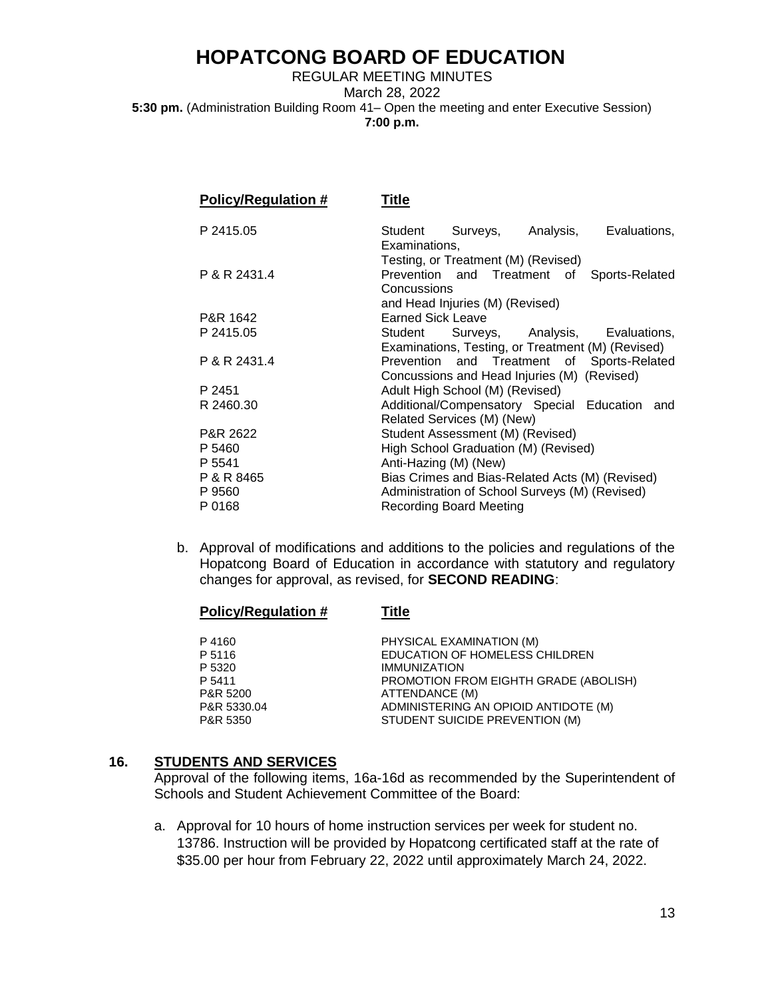REGULAR MEETING MINUTES March 28, 2022 **5:30 pm.** (Administration Building Room 41– Open the meeting and enter Executive Session) **7:00 p.m.**

| Policy/Regulation # | Title                    |                                                                         |                                                                                              |
|---------------------|--------------------------|-------------------------------------------------------------------------|----------------------------------------------------------------------------------------------|
| P 2415.05           | Examinations,            |                                                                         | Student Surveys, Analysis, Evaluations,                                                      |
| P & R 2431.4        | Concussions              | Testing, or Treatment (M) (Revised)<br>Prevention and Treatment of      | Sports-Related                                                                               |
| P&R 1642            | <b>Earned Sick Leave</b> | and Head Injuries (M) (Revised)                                         |                                                                                              |
| P 2415.05           |                          |                                                                         | Student Surveys, Analysis, Evaluations,<br>Examinations, Testing, or Treatment (M) (Revised) |
| P & R 2431.4        |                          | Concussions and Head Injuries (M) (Revised)                             | Prevention and Treatment of Sports-Related                                                   |
| P 2451              |                          | Adult High School (M) (Revised)                                         |                                                                                              |
| R 2460.30           |                          | Additional/Compensatory Special Education<br>Related Services (M) (New) | and                                                                                          |
| P&R 2622            |                          | Student Assessment (M) (Revised)                                        |                                                                                              |
| P 5460              |                          | High School Graduation (M) (Revised)                                    |                                                                                              |
| P 5541              | Anti-Hazing (M) (New)    |                                                                         |                                                                                              |
| P & R 8465          |                          |                                                                         | Bias Crimes and Bias-Related Acts (M) (Revised)                                              |
| P 9560              |                          | Administration of School Surveys (M) (Revised)                          |                                                                                              |
| P 0168              |                          | <b>Recording Board Meeting</b>                                          |                                                                                              |

b. Approval of modifications and additions to the policies and regulations of the Hopatcong Board of Education in accordance with statutory and regulatory changes for approval, as revised, for **SECOND READING**:

| <b>Policy/Regulation #</b> | <u>Title</u>                                 |
|----------------------------|----------------------------------------------|
| P4160                      | PHYSICAL EXAMINATION (M)                     |
| P 5116                     | EDUCATION OF HOMELESS CHILDREN               |
| P 5320                     | <b>IMMUNIZATION</b>                          |
| P 5411                     | <b>PROMOTION FROM EIGHTH GRADE (ABOLISH)</b> |
| P&R 5200                   | ATTENDANCE (M)                               |
| P&R 5330.04                | ADMINISTERING AN OPIOID ANTIDOTE (M)         |
| P&R 5350                   | STUDENT SUICIDE PREVENTION (M)               |

#### **16. STUDENTS AND SERVICES**

Approval of the following items, 16a-16d as recommended by the Superintendent of Schools and Student Achievement Committee of the Board:

a. Approval for 10 hours of home instruction services per week for student no. 13786. Instruction will be provided by Hopatcong certificated staff at the rate of \$35.00 per hour from February 22, 2022 until approximately March 24, 2022.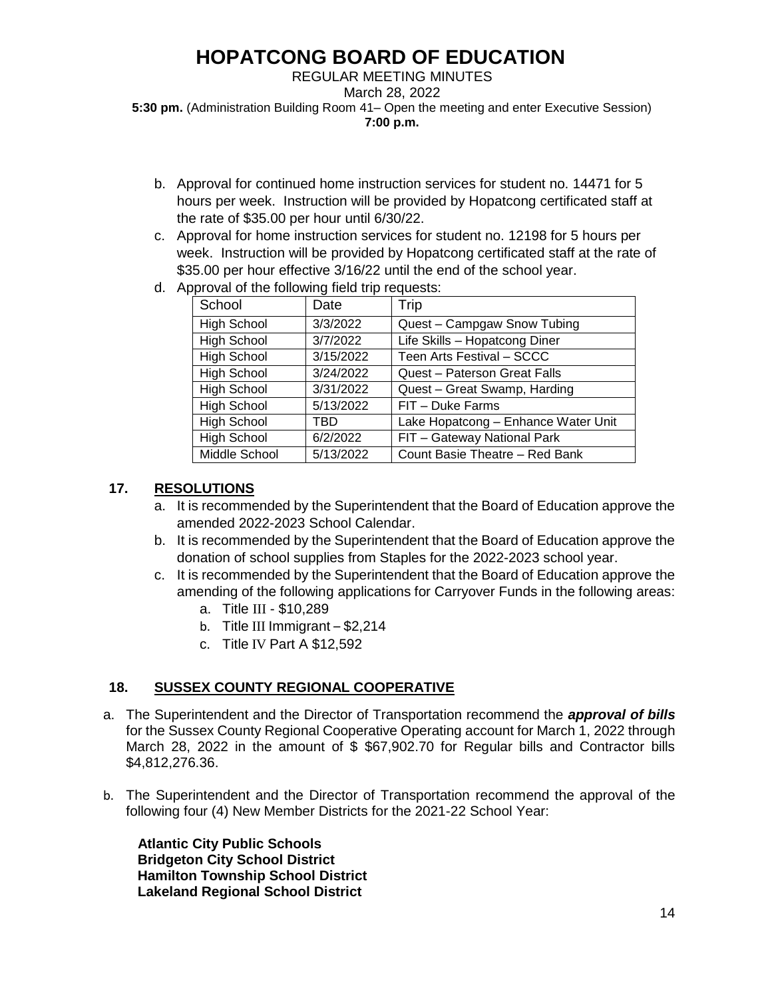#### REGULAR MEETING MINUTES March 28, 2022 **5:30 pm.** (Administration Building Room 41– Open the meeting and enter Executive Session) **7:00 p.m.**

- b. Approval for continued home instruction services for student no. 14471 for 5 hours per week. Instruction will be provided by Hopatcong certificated staff at the rate of \$35.00 per hour until 6/30/22.
- c. Approval for home instruction services for student no. 12198 for 5 hours per week. Instruction will be provided by Hopatcong certificated staff at the rate of \$35.00 per hour effective 3/16/22 until the end of the school year.
- d. Approval of the following field trip requests:

| School             | Date      | Trip                                |
|--------------------|-----------|-------------------------------------|
| <b>High School</b> | 3/3/2022  | Quest - Campgaw Snow Tubing         |
| <b>High School</b> | 3/7/2022  | Life Skills - Hopatcong Diner       |
| <b>High School</b> | 3/15/2022 | Teen Arts Festival - SCCC           |
| <b>High School</b> | 3/24/2022 | Quest - Paterson Great Falls        |
| <b>High School</b> | 3/31/2022 | Quest - Great Swamp, Harding        |
| <b>High School</b> | 5/13/2022 | FIT - Duke Farms                    |
| <b>High School</b> | TBD       | Lake Hopatcong - Enhance Water Unit |
| <b>High School</b> | 6/2/2022  | FIT - Gateway National Park         |
| Middle School      | 5/13/2022 | Count Basie Theatre - Red Bank      |

## **17. RESOLUTIONS**

- a. It is recommended by the Superintendent that the Board of Education approve the amended 2022-2023 School Calendar.
- b. It is recommended by the Superintendent that the Board of Education approve the donation of school supplies from Staples for the 2022-2023 school year.
- c. It is recommended by the Superintendent that the Board of Education approve the amending of the following applications for Carryover Funds in the following areas:
	- a. Title III \$10,289
	- b. Title III Immigrant \$2,214
	- c. Title IV Part A \$12,592

## **18. SUSSEX COUNTY REGIONAL COOPERATIVE**

- a. The Superintendent and the Director of Transportation recommend the *approval of bills* for the Sussex County Regional Cooperative Operating account for March 1, 2022 through March 28, 2022 in the amount of \$ \$67,902.70 for Regular bills and Contractor bills \$4,812,276.36.
- b. The Superintendent and the Director of Transportation recommend the approval of the following four (4) New Member Districts for the 2021-22 School Year:

 **Atlantic City Public Schools Bridgeton City School District Hamilton Township School District Lakeland Regional School District**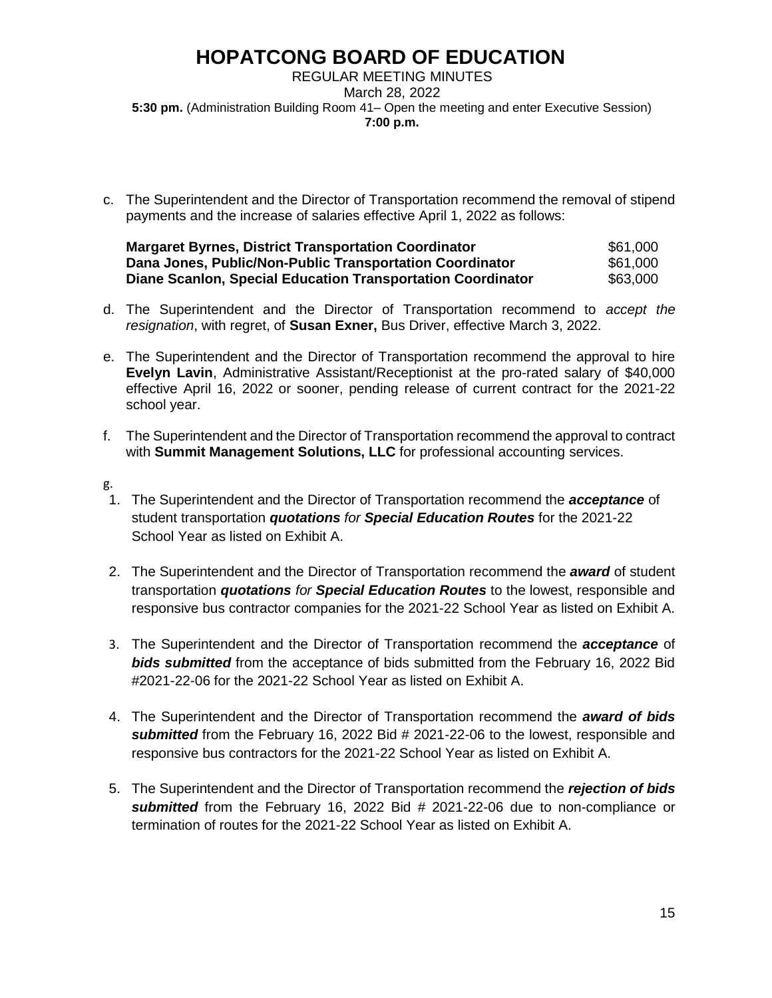REGULAR MEETING MINUTES March 28, 2022 **5:30 pm.** (Administration Building Room 41– Open the meeting and enter Executive Session) **7:00 p.m.**

c. The Superintendent and the Director of Transportation recommend the removal of stipend payments and the increase of salaries effective April 1, 2022 as follows:

| <b>Margaret Byrnes, District Transportation Coordinator</b> | \$61,000 |
|-------------------------------------------------------------|----------|
| Dana Jones, Public/Non-Public Transportation Coordinator    | \$61,000 |
| Diane Scanlon, Special Education Transportation Coordinator | \$63,000 |

- d. The Superintendent and the Director of Transportation recommend to *accept the resignation*, with regret, of **Susan Exner,** Bus Driver, effective March 3, 2022.
- e. The Superintendent and the Director of Transportation recommend the approval to hire **Evelyn Lavin**, Administrative Assistant/Receptionist at the pro-rated salary of \$40,000 effective April 16, 2022 or sooner, pending release of current contract for the 2021-22 school year.
- f. The Superintendent and the Director of Transportation recommend the approval to contract with **Summit Management Solutions, LLC** for professional accounting services.
- g.
- 1. The Superintendent and the Director of Transportation recommend the *acceptance* of student transportation *quotations for Special Education Routes* for the 2021-22 School Year as listed on Exhibit A.
- 2. The Superintendent and the Director of Transportation recommend the *award* of student transportation *quotations for Special Education Routes* to the lowest, responsible and responsive bus contractor companies for the 2021-22 School Year as listed on Exhibit A.
- 3. The Superintendent and the Director of Transportation recommend the *acceptance* of *bids submitted* from the acceptance of bids submitted from the February 16, 2022 Bid #2021-22-06 for the 2021-22 School Year as listed on Exhibit A.
- 4. The Superintendent and the Director of Transportation recommend the *award of bids submitted* from the February 16, 2022 Bid # 2021-22-06 to the lowest, responsible and responsive bus contractors for the 2021-22 School Year as listed on Exhibit A.
- 5. The Superintendent and the Director of Transportation recommend the *rejection of bids submitted* from the February 16, 2022 Bid # 2021-22-06 due to non-compliance or termination of routes for the 2021-22 School Year as listed on Exhibit A.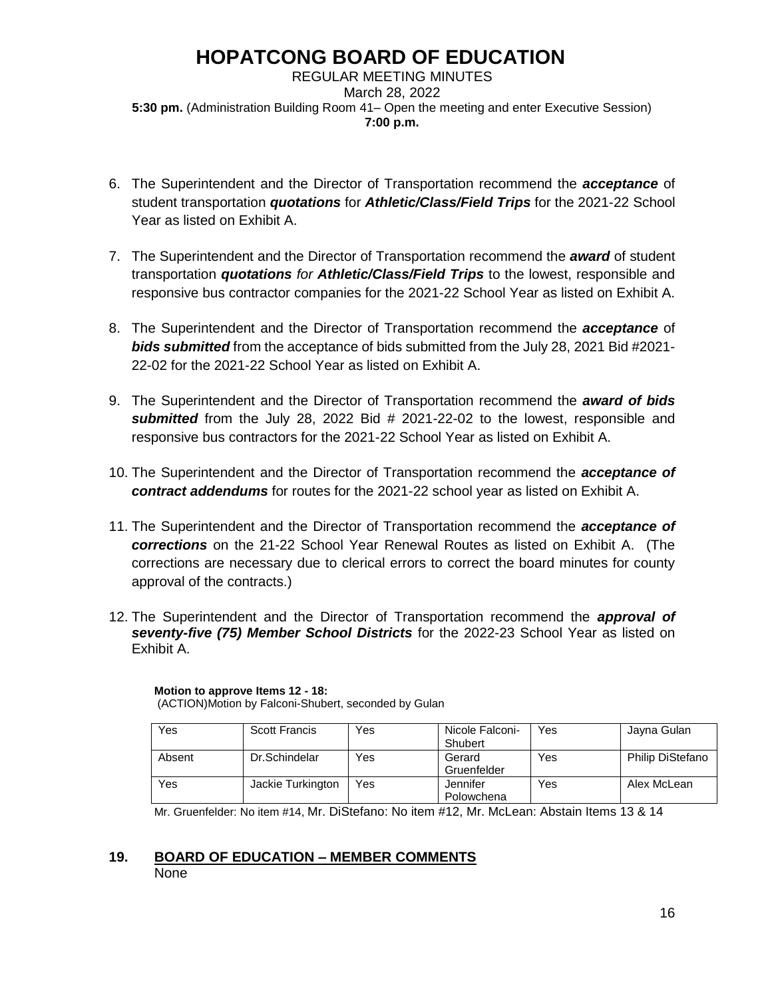REGULAR MEETING MINUTES March 28, 2022 **5:30 pm.** (Administration Building Room 41– Open the meeting and enter Executive Session) **7:00 p.m.**

- 6. The Superintendent and the Director of Transportation recommend the *acceptance* of student transportation *quotations* for *Athletic/Class/Field Trips* for the 2021-22 School Year as listed on Exhibit A.
- 7. The Superintendent and the Director of Transportation recommend the *award* of student transportation *quotations for Athletic/Class/Field Trips* to the lowest, responsible and responsive bus contractor companies for the 2021-22 School Year as listed on Exhibit A.
- 8. The Superintendent and the Director of Transportation recommend the *acceptance* of *bids submitted* from the acceptance of bids submitted from the July 28, 2021 Bid #2021- 22-02 for the 2021-22 School Year as listed on Exhibit A.
- 9. The Superintendent and the Director of Transportation recommend the *award of bids submitted* from the July 28, 2022 Bid # 2021-22-02 to the lowest, responsible and responsive bus contractors for the 2021-22 School Year as listed on Exhibit A.
- 10. The Superintendent and the Director of Transportation recommend the *acceptance of contract addendums* for routes for the 2021-22 school year as listed on Exhibit A.
- 11. The Superintendent and the Director of Transportation recommend the *acceptance of corrections* on the 21-22 School Year Renewal Routes as listed on Exhibit A. (The corrections are necessary due to clerical errors to correct the board minutes for county approval of the contracts.)
- 12. The Superintendent and the Director of Transportation recommend the *approval of seventy-five (75) Member School Districts* for the 2022-23 School Year as listed on Exhibit A.

| Yes    | <b>Scott Francis</b> | Yes | Nicole Falconi-<br>Shubert | Yes | Jayna Gulan             |
|--------|----------------------|-----|----------------------------|-----|-------------------------|
| Absent | Dr.Schindelar        | Yes | Gerard<br>Gruenfelder      | Yes | <b>Philip DiStefano</b> |
| Yes    | Jackie Turkington    | Yes | Jennifer<br>Polowchena     | Yes | Alex McLean             |

**Motion to approve Items 12 - 18:** (ACTION)Motion by Falconi-Shubert, seconded by Gulan

Mr. Gruenfelder: No item #14, Mr. DiStefano: No item #12, Mr. McLean: Abstain Items 13 & 14

### **19. BOARD OF EDUCATION – MEMBER COMMENTS** None